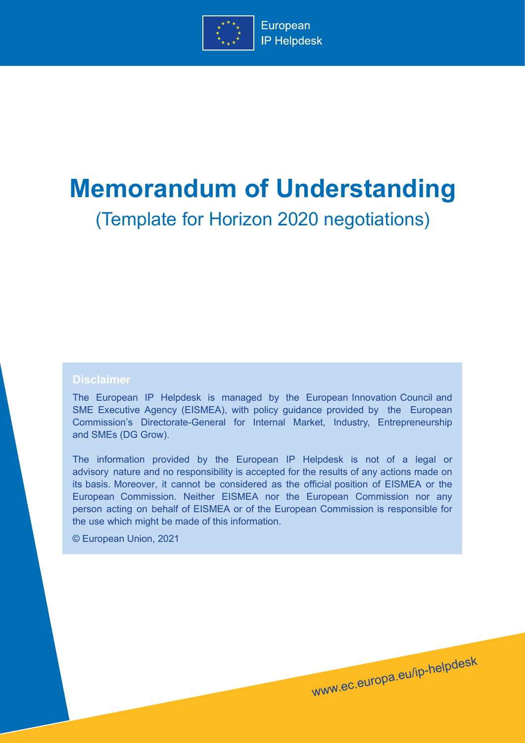

# **Memorandum of Understanding**

(Template for Horizon 2020 negotiations)

#### **Disclaimer**

The European IP Helpdesk is managed by the European Innovation Council and SME Executive Agency (EISMEA), with policy guidance provided by the European Commission's Directorate-General for Internal Market, Industry, Entrepreneurship and SMEs (DG Grow).

The information provided by the European IP Helpdesk is not of a legal or advisory nature and no responsibility is accepted for the results of any actions made on its basis. Moreover, it cannot be considered as the official position of EISMEA or the European Commission. Neither EISMEA nor the European Commission nor any person acting on behalf of EISMEA or of the European Commission is responsible for the use which might be made of this information.

www.ec.europa.eu/ip-helpdesk

© European Union, 2021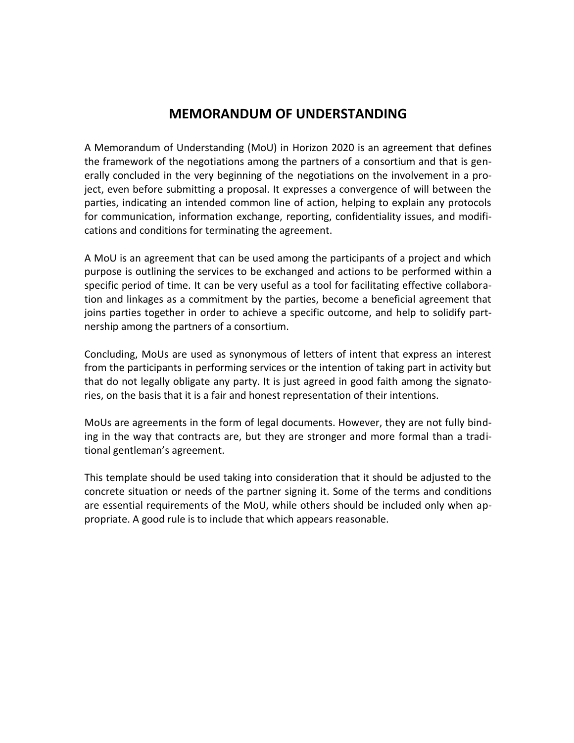### **MEMORANDUM OF UNDERSTANDING**

A Memorandum of Understanding (MoU) in Horizon 2020 is an agreement that defines the framework of the negotiations among the partners of a consortium and that is generally concluded in the very beginning of the negotiations on the involvement in a project, even before submitting a proposal. It expresses a convergence of will between the parties, indicating an intended common line of action, helping to explain any protocols for communication, information exchange, reporting, confidentiality issues, and modifications and conditions for terminating the agreement.

A MoU is an agreement that can be used among the participants of a project and which purpose is outlining the services to be exchanged and actions to be performed within a specific period of time. It can be very useful as a tool for facilitating effective collaboration and linkages as a commitment by the parties, become a beneficial agreement that joins parties together in order to achieve a specific outcome, and help to solidify partnership among the partners of a consortium.

Concluding, MoUs are used as synonymous of letters of intent that express an interest from the participants in performing services or the intention of taking part in activity but that do not legally obligate any party. It is just agreed in good faith among the signatories, on the basis that it is a fair and honest representation of their intentions.

MoUs are agreements in the form of legal documents. However, they are not fully binding in the way that contracts are, but they are stronger and more formal than a traditional gentleman's agreement.

This template should be used taking into consideration that it should be adjusted to the concrete situation or needs of the partner signing it. Some of the terms and conditions are essential requirements of the MoU, while others should be included only when appropriate. A good rule is to include that which appears reasonable.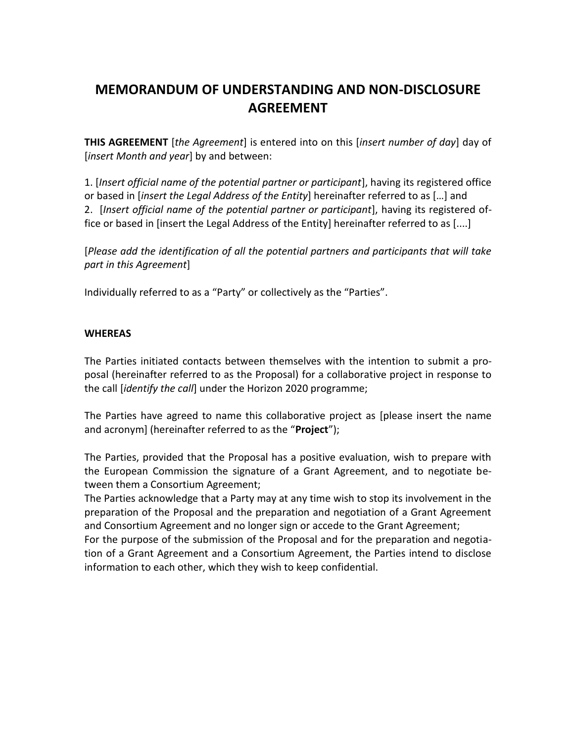## **MEMORANDUM OF UNDERSTANDING AND NON-DISCLOSURE AGREEMENT**

**THIS AGREEMENT** [*the Agreement*] is entered into on this [*insert number of day*] day of [*insert Month and year*] by and between:

1. [*Insert official name of the potential partner or participant*], having its registered office or based in [*insert the Legal Address of the Entity*] hereinafter referred to as […] and 2. [*Insert official name of the potential partner or participant*], having its registered office or based in [insert the Legal Address of the Entity] hereinafter referred to as [....]

[*Please add the identification of all the potential partners and participants that will take part in this Agreement*]

Individually referred to as a "Party" or collectively as the "Parties".

#### **WHEREAS**

The Parties initiated contacts between themselves with the intention to submit a proposal (hereinafter referred to as the Proposal) for a collaborative project in response to the call [*identify the call*] under the Horizon 2020 programme;

The Parties have agreed to name this collaborative project as [please insert the name and acronym] (hereinafter referred to as the "**Project**");

The Parties, provided that the Proposal has a positive evaluation, wish to prepare with the European Commission the signature of a Grant Agreement, and to negotiate between them a Consortium Agreement;

The Parties acknowledge that a Party may at any time wish to stop its involvement in the preparation of the Proposal and the preparation and negotiation of a Grant Agreement and Consortium Agreement and no longer sign or accede to the Grant Agreement;

For the purpose of the submission of the Proposal and for the preparation and negotiation of a Grant Agreement and a Consortium Agreement, the Parties intend to disclose information to each other, which they wish to keep confidential.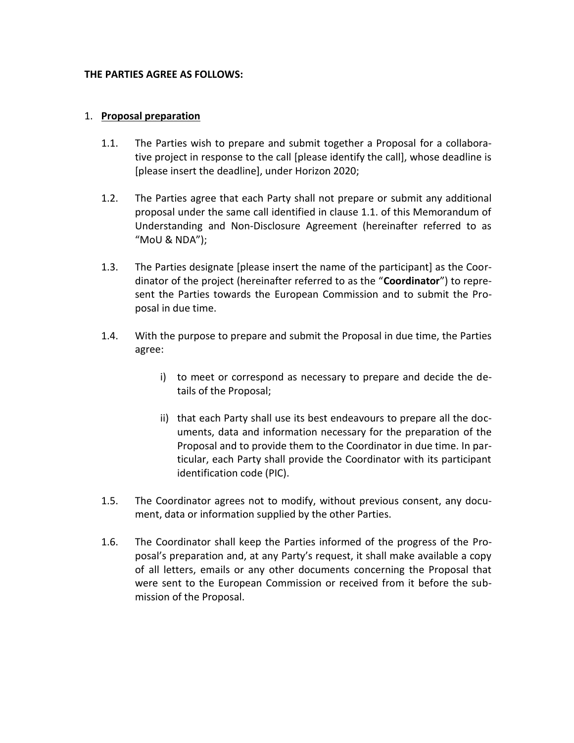#### **THE PARTIES AGREE AS FOLLOWS:**

#### 1. **Proposal preparation**

- 1.1. The Parties wish to prepare and submit together a Proposal for a collaborative project in response to the call [please identify the call], whose deadline is [please insert the deadline], under Horizon 2020;
- 1.2. The Parties agree that each Party shall not prepare or submit any additional proposal under the same call identified in clause 1.1. of this Memorandum of Understanding and Non-Disclosure Agreement (hereinafter referred to as "MoU & NDA");
- 1.3. The Parties designate [please insert the name of the participant] as the Coordinator of the project (hereinafter referred to as the "**Coordinator**") to represent the Parties towards the European Commission and to submit the Proposal in due time.
- 1.4. With the purpose to prepare and submit the Proposal in due time, the Parties agree:
	- i) to meet or correspond as necessary to prepare and decide the details of the Proposal;
	- ii) that each Party shall use its best endeavours to prepare all the documents, data and information necessary for the preparation of the Proposal and to provide them to the Coordinator in due time. In particular, each Party shall provide the Coordinator with its participant identification code (PIC).
- 1.5. The Coordinator agrees not to modify, without previous consent, any document, data or information supplied by the other Parties.
- 1.6. The Coordinator shall keep the Parties informed of the progress of the Proposal's preparation and, at any Party's request, it shall make available a copy of all letters, emails or any other documents concerning the Proposal that were sent to the European Commission or received from it before the submission of the Proposal.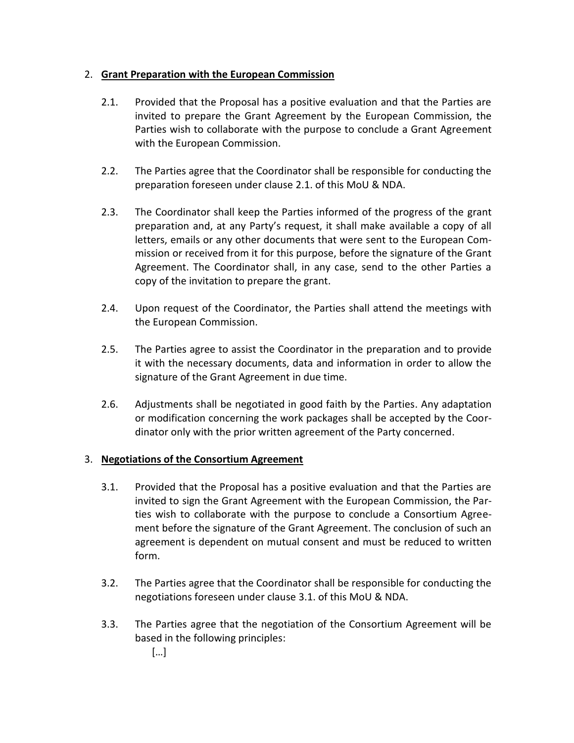#### 2. **Grant Preparation with the European Commission**

- 2.1. Provided that the Proposal has a positive evaluation and that the Parties are invited to prepare the Grant Agreement by the European Commission, the Parties wish to collaborate with the purpose to conclude a Grant Agreement with the European Commission.
- 2.2. The Parties agree that the Coordinator shall be responsible for conducting the preparation foreseen under clause 2.1. of this MoU & NDA.
- 2.3. The Coordinator shall keep the Parties informed of the progress of the grant preparation and, at any Party's request, it shall make available a copy of all letters, emails or any other documents that were sent to the European Commission or received from it for this purpose, before the signature of the Grant Agreement. The Coordinator shall, in any case, send to the other Parties a copy of the invitation to prepare the grant.
- 2.4. Upon request of the Coordinator, the Parties shall attend the meetings with the European Commission.
- 2.5. The Parties agree to assist the Coordinator in the preparation and to provide it with the necessary documents, data and information in order to allow the signature of the Grant Agreement in due time.
- 2.6. Adjustments shall be negotiated in good faith by the Parties. Any adaptation or modification concerning the work packages shall be accepted by the Coordinator only with the prior written agreement of the Party concerned.

#### 3. **Negotiations of the Consortium Agreement**

- 3.1. Provided that the Proposal has a positive evaluation and that the Parties are invited to sign the Grant Agreement with the European Commission, the Parties wish to collaborate with the purpose to conclude a Consortium Agreement before the signature of the Grant Agreement. The conclusion of such an agreement is dependent on mutual consent and must be reduced to written form.
- 3.2. The Parties agree that the Coordinator shall be responsible for conducting the negotiations foreseen under clause 3.1. of this MoU & NDA.
- 3.3. The Parties agree that the negotiation of the Consortium Agreement will be based in the following principles:

[…]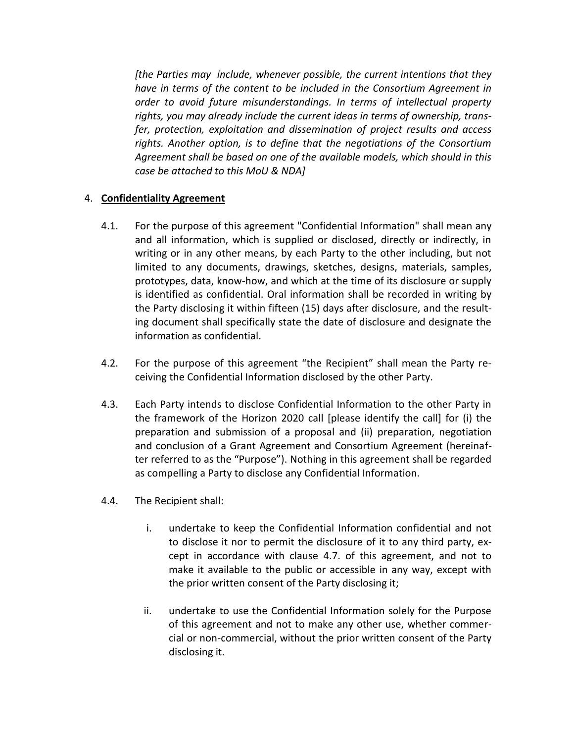*[the Parties may include, whenever possible, the current intentions that they have in terms of the content to be included in the Consortium Agreement in order to avoid future misunderstandings. In terms of intellectual property rights, you may already include the current ideas in terms of ownership, transfer, protection, exploitation and dissemination of project results and access rights. Another option, is to define that the negotiations of the Consortium Agreement shall be based on one of the available models, which should in this case be attached to this MoU & NDA]* 

#### 4. **Confidentiality Agreement**

- 4.1. For the purpose of this agreement "Confidential Information" shall mean any and all information, which is supplied or disclosed, directly or indirectly, in writing or in any other means, by each Party to the other including, but not limited to any documents, drawings, sketches, designs, materials, samples, prototypes, data, know-how, and which at the time of its disclosure or supply is identified as confidential. Oral information shall be recorded in writing by the Party disclosing it within fifteen (15) days after disclosure, and the resulting document shall specifically state the date of disclosure and designate the information as confidential.
- 4.2. For the purpose of this agreement "the Recipient" shall mean the Party receiving the Confidential Information disclosed by the other Party.
- 4.3. Each Party intends to disclose Confidential Information to the other Party in the framework of the Horizon 2020 call [please identify the call] for (i) the preparation and submission of a proposal and (ii) preparation, negotiation and conclusion of a Grant Agreement and Consortium Agreement (hereinafter referred to as the "Purpose"). Nothing in this agreement shall be regarded as compelling a Party to disclose any Confidential Information.
- 4.4. The Recipient shall:
	- i. undertake to keep the Confidential Information confidential and not to disclose it nor to permit the disclosure of it to any third party, except in accordance with clause 4.7. of this agreement, and not to make it available to the public or accessible in any way, except with the prior written consent of the Party disclosing it;
	- ii. undertake to use the Confidential Information solely for the Purpose of this agreement and not to make any other use, whether commercial or non-commercial, without the prior written consent of the Party disclosing it.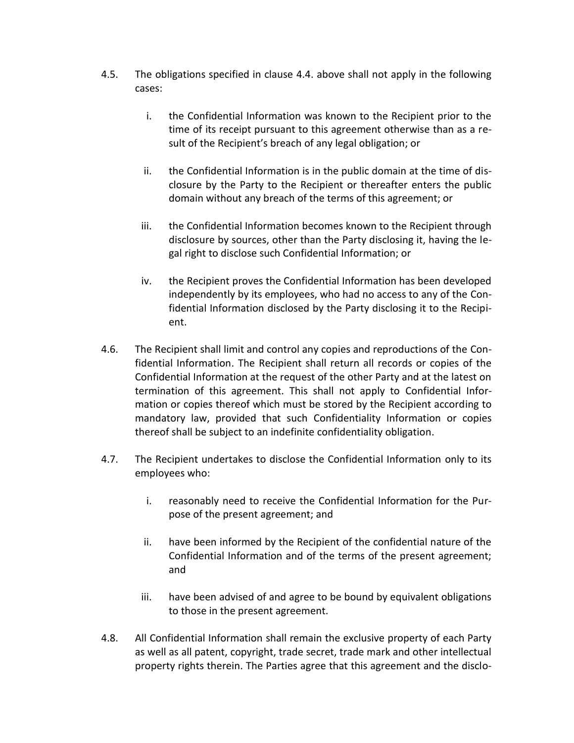- 4.5. The obligations specified in clause 4.4. above shall not apply in the following cases:
	- i. the Confidential Information was known to the Recipient prior to the time of its receipt pursuant to this agreement otherwise than as a result of the Recipient's breach of any legal obligation; or
	- ii. the Confidential Information is in the public domain at the time of disclosure by the Party to the Recipient or thereafter enters the public domain without any breach of the terms of this agreement; or
	- iii. the Confidential Information becomes known to the Recipient through disclosure by sources, other than the Party disclosing it, having the legal right to disclose such Confidential Information; or
	- iv. the Recipient proves the Confidential Information has been developed independently by its employees, who had no access to any of the Confidential Information disclosed by the Party disclosing it to the Recipient.
- 4.6. The Recipient shall limit and control any copies and reproductions of the Confidential Information. The Recipient shall return all records or copies of the Confidential Information at the request of the other Party and at the latest on termination of this agreement. This shall not apply to Confidential Information or copies thereof which must be stored by the Recipient according to mandatory law, provided that such Confidentiality Information or copies thereof shall be subject to an indefinite confidentiality obligation.
- 4.7. The Recipient undertakes to disclose the Confidential Information only to its employees who:
	- i. reasonably need to receive the Confidential Information for the Purpose of the present agreement; and
	- ii. have been informed by the Recipient of the confidential nature of the Confidential Information and of the terms of the present agreement; and
	- iii. have been advised of and agree to be bound by equivalent obligations to those in the present agreement.
- 4.8. All Confidential Information shall remain the exclusive property of each Party as well as all patent, copyright, trade secret, trade mark and other intellectual property rights therein. The Parties agree that this agreement and the disclo-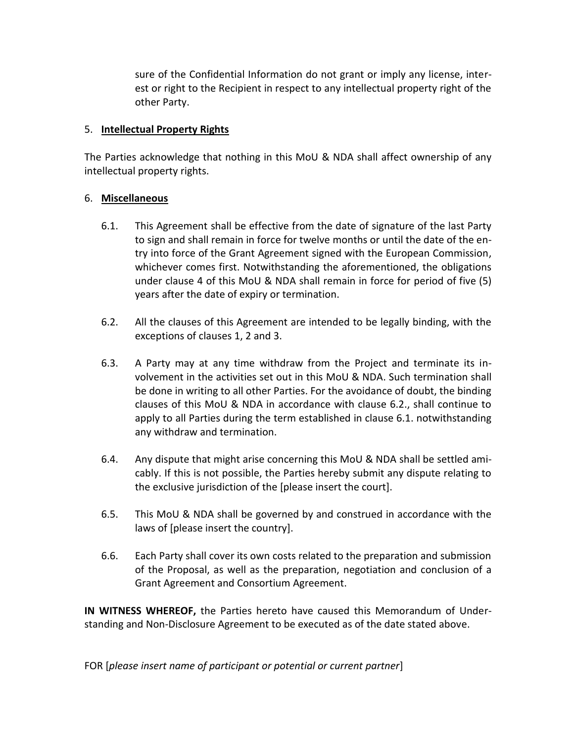sure of the Confidential Information do not grant or imply any license, interest or right to the Recipient in respect to any intellectual property right of the other Party.

#### 5. **Intellectual Property Rights**

The Parties acknowledge that nothing in this MoU & NDA shall affect ownership of any intellectual property rights.

#### 6. **Miscellaneous**

- 6.1. This Agreement shall be effective from the date of signature of the last Party to sign and shall remain in force for twelve months or until the date of the entry into force of the Grant Agreement signed with the European Commission, whichever comes first. Notwithstanding the aforementioned, the obligations under clause 4 of this MoU & NDA shall remain in force for period of five (5) years after the date of expiry or termination.
- 6.2. All the clauses of this Agreement are intended to be legally binding, with the exceptions of clauses 1, 2 and 3.
- 6.3. A Party may at any time withdraw from the Project and terminate its involvement in the activities set out in this MoU & NDA. Such termination shall be done in writing to all other Parties. For the avoidance of doubt, the binding clauses of this MoU & NDA in accordance with clause 6.2., shall continue to apply to all Parties during the term established in clause 6.1. notwithstanding any withdraw and termination.
- 6.4. Any dispute that might arise concerning this MoU & NDA shall be settled amicably. If this is not possible, the Parties hereby submit any dispute relating to the exclusive jurisdiction of the [please insert the court].
- 6.5. This MoU & NDA shall be governed by and construed in accordance with the laws of [please insert the country].
- 6.6. Each Party shall cover its own costs related to the preparation and submission of the Proposal, as well as the preparation, negotiation and conclusion of a Grant Agreement and Consortium Agreement.

**IN WITNESS WHEREOF,** the Parties hereto have caused this Memorandum of Understanding and Non-Disclosure Agreement to be executed as of the date stated above.

FOR [*please insert name of participant or potential or current partner*]